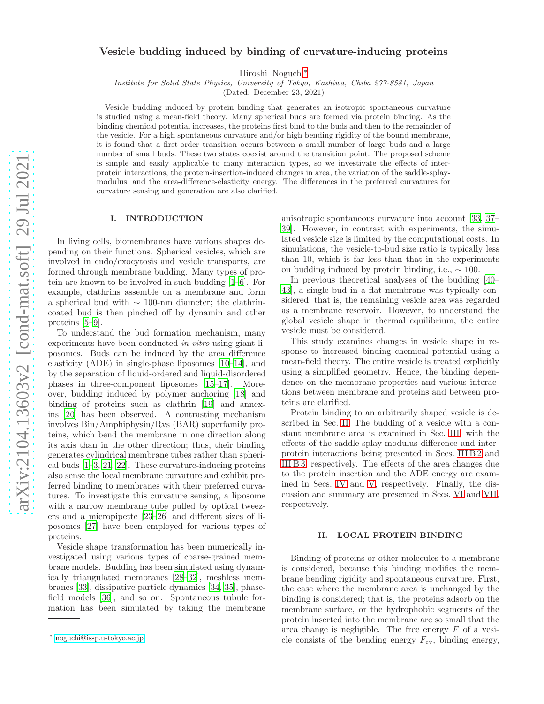# Vesicle budding induced by binding of curvature-inducing proteins

Hiroshi Noguchi[∗](#page-0-0)

Institute for Solid State Physics, University of Tokyo, Kashiwa, Chiba 277-8581, Japan

(Dated: December 23, 2021)

Vesicle budding induced by protein binding that generates an isotropic spontaneous curvature is studied using a mean-field theory. Many spherical buds are formed via protein binding. As the binding chemical potential increases, the proteins first bind to the buds and then to the remainder of the vesicle. For a high spontaneous curvature and/or high bending rigidity of the bound membrane, it is found that a first-order transition occurs between a small number of large buds and a large number of small buds. These two states coexist around the transition point. The proposed scheme is simple and easily applicable to many interaction types, so we investivate the effects of interprotein interactions, the protein-insertion-induced changes in area, the variation of the saddle-splaymodulus, and the area-difference-elasticity energy. The differences in the preferred curvatures for curvature sensing and generation are also clarified.

### I. INTRODUCTION

In living cells, biomembranes have various shapes depending on their functions. Spherical vesicles, which are involved in endo/exocytosis and vesicle transports, are formed through membrane budding. Many types of protein are known to be involved in such budding [\[1](#page-11-0)[–6\]](#page-12-0). For example, clathrins assemble on a membrane and form a spherical bud with ∼ 100-nm diameter; the clathrincoated bud is then pinched off by dynamin and other proteins [\[5](#page-12-1)[–9](#page-12-2)].

To understand the bud formation mechanism, many experiments have been conducted in vitro using giant liposomes. Buds can be induced by the area difference elasticity (ADE) in single-phase liposomes [\[10](#page-12-3)[–14](#page-12-4)], and by the separation of liquid-ordered and liquid-disordered phases in three-component liposomes [\[15](#page-12-5)[–17](#page-12-6)]. Moreover, budding induced by polymer anchoring [\[18](#page-12-7)] and binding of proteins such as clathrin [\[19\]](#page-12-8) and annexins [\[20\]](#page-12-9) has been observed. A contrasting mechanism involves Bin/Amphiphysin/Rvs (BAR) superfamily proteins, which bend the membrane in one direction along its axis than in the other direction; thus, their binding generates cylindrical membrane tubes rather than spherical buds [\[1](#page-11-0)[–3](#page-12-10), [21,](#page-12-11) [22](#page-12-12)]. These curvature-inducing proteins also sense the local membrane curvature and exhibit preferred binding to membranes with their preferred curvatures. To investigate this curvature sensing, a liposome with a narrow membrane tube pulled by optical tweezers and a micropipette [\[23](#page-12-13)[–26\]](#page-12-14) and different sizes of liposomes [\[27\]](#page-12-15) have been employed for various types of proteins.

Vesicle shape transformation has been numerically investigated using various types of coarse-grained membrane models. Budding has been simulated using dynamically triangulated membranes [\[28](#page-12-16)[–32\]](#page-12-17), meshless membranes [\[33](#page-12-18)], dissipative particle dynamics [\[34](#page-12-19), [35\]](#page-12-20), phasefield models [\[36\]](#page-12-21), and so on. Spontaneous tubule formation has been simulated by taking the membrane

anisotropic spontaneous curvature into account [\[33,](#page-12-18) [37](#page-12-22)– [39](#page-12-23)]. However, in contrast with experiments, the simulated vesicle size is limited by the computational costs. In simulations, the vesicle-to-bud size ratio is typically less than 10, which is far less than that in the experiments on budding induced by protein binding, i.e.,  $\sim 100$ .

In previous theoretical analyses of the budding [\[40](#page-12-24)– [43](#page-12-25)], a single bud in a flat membrane was typically considered; that is, the remaining vesicle area was regarded as a membrane reservoir. However, to understand the global vesicle shape in thermal equilibrium, the entire vesicle must be considered.

This study examines changes in vesicle shape in response to increased binding chemical potential using a mean-field theory. The entire vesicle is treated explicitly using a simplified geometry. Hence, the binding dependence on the membrane properties and various interactions between membrane and proteins and between proteins are clarified.

Protein binding to an arbitrarily shaped vesicle is described in Sec. [II.](#page-0-1) The budding of a vesicle with a constant membrane area is examined in Sec. [III,](#page-2-0) with the effects of the saddle-splay-modulus difference and interprotein interactions being presented in Secs. [III B 2](#page-7-0) and [III B 3,](#page-7-1) respectively. The effects of the area changes due to the protein insertion and the ADE energy are examined in Secs. [IV](#page-9-0) and [V,](#page-9-1) respectively. Finally, the discussion and summary are presented in Secs. [VI](#page-10-0) and [VII,](#page-11-1) respectively.

## <span id="page-0-1"></span>II. LOCAL PROTEIN BINDING

Binding of proteins or other molecules to a membrane is considered, because this binding modifies the membrane bending rigidity and spontaneous curvature. First, the case where the membrane area is unchanged by the binding is considered; that is, the proteins adsorb on the membrane surface, or the hydrophobic segments of the protein inserted into the membrane are so small that the area change is negligible. The free energy  $F$  of a vesicle consists of the bending energy  $F_{\rm cv}$ , binding energy,

<span id="page-0-0"></span><sup>∗</sup> [noguchi@issp.u-tokyo.ac.jp](mailto:noguchi@issp.u-tokyo.ac.jp)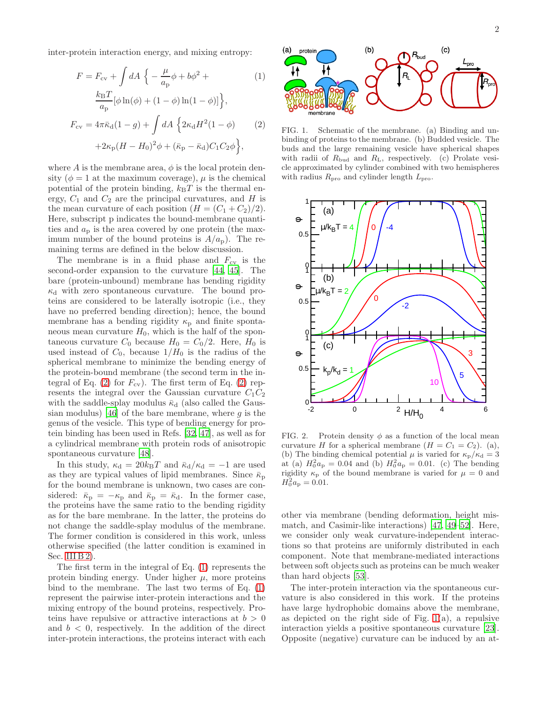inter-protein interaction energy, and mixing entropy:

<span id="page-1-0"></span>
$$
F = F_{\rm cv} + \int dA \left\{ -\frac{\mu}{a_{\rm p}} \phi + b\phi^2 + \frac{k_{\rm B}T}{a_{\rm p}} [\phi \ln(\phi) + (1 - \phi) \ln(1 - \phi)] \right\},\
$$
  
\n
$$
F_{\rm cv} = 4\pi \bar{\kappa}_{\rm d} (1 - g) + \int dA \left\{ 2\kappa_{\rm d} H^2 (1 - \phi) \right\} \tag{2}
$$
  
\n
$$
+2\kappa_{\rm p} (H - H_0)^2 \phi + (\bar{\kappa}_{\rm p} - \bar{\kappa}_{\rm d}) C_1 C_2 \phi \right\},
$$

where A is the membrane area,  $\phi$  is the local protein density ( $\phi = 1$  at the maximum coverage),  $\mu$  is the chemical potential of the protein binding,  $k_BT$  is the thermal energy,  $C_1$  and  $C_2$  are the principal curvatures, and H is the mean curvature of each position  $(H = (C_1 + C_2)/2)$ . Here, subscript p indicates the bound-membrane quantities and  $a_p$  is the area covered by one protein (the maximum number of the bound proteins is  $A/a_p$ ). The remaining terms are defined in the below discussion.

The membrane is in a fluid phase and  $F_{\rm cv}$  is the second-order expansion to the curvature [\[44](#page-12-26), [45](#page-12-27)]. The bare (protein-unbound) membrane has bending rigidity  $\kappa_d$  with zero spontaneous curvature. The bound proteins are considered to be laterally isotropic (i.e., they have no preferred bending direction); hence, the bound membrane has a bending rigidity  $\kappa_{\rm p}$  and finite spontaneous mean curvature  $H_0$ , which is the half of the spontaneous curvature  $C_0$  because  $H_0 = C_0/2$ . Here,  $H_0$  is used instead of  $C_0$ , because  $1/H_0$  is the radius of the spherical membrane to minimize the bending energy of the protein-bound membrane (the second term in the in-tegral of Eq. [\(2\)](#page-1-0) for  $F_{\rm cv}$ ). The first term of Eq. (2) represents the integral over the Gaussian curvature  $C_1C_2$ with the saddle-splay modulus  $\bar{\kappa}_d$  (also called the Gaus-sian modulus) [\[46](#page-12-28)] of the bare membrane, where  $g$  is the genus of the vesicle. This type of bending energy for protein binding has been used in Refs. [\[32,](#page-12-17) [47\]](#page-12-29), as well as for a cylindrical membrane with protein rods of anisotropic spontaneous curvature [\[48\]](#page-12-30).

In this study,  $\kappa_{\rm d} = 20 k_{\rm B}T$  and  $\bar{\kappa}_{\rm d}/\kappa_{\rm d} = -1$  are used as they are typical values of lipid membranes. Since  $\bar{\kappa}_{\rm p}$ for the bound membrane is unknown, two cases are considered:  $\bar{\kappa}_{\rm p} = -\kappa_{\rm p}$  and  $\bar{\kappa}_{\rm p} = \bar{\kappa}_{\rm d}$ . In the former case, the proteins have the same ratio to the bending rigidity as for the bare membrane. In the latter, the proteins do not change the saddle-splay modulus of the membrane. The former condition is considered in this work, unless otherwise specified (the latter condition is examined in Sec. [III B 2\)](#page-7-0).

The first term in the integral of Eq. [\(1\)](#page-1-0) represents the protein binding energy. Under higher  $\mu$ , more proteins bind to the membrane. The last two terms of Eq. [\(1\)](#page-1-0) represent the pairwise inter-protein interactions and the mixing entropy of the bound proteins, respectively. Proteins have repulsive or attractive interactions at  $b > 0$ and  $b < 0$ , respectively. In the addition of the direct inter-protein interactions, the proteins interact with each



<span id="page-1-1"></span>FIG. 1. Schematic of the membrane. (a) Binding and unbinding of proteins to the membrane. (b) Budded vesicle. The buds and the large remaining vesicle have spherical shapes with radii of  $R_{\text{bud}}$  and  $R_{\text{L}}$ , respectively. (c) Prolate vesicle approximated by cylinder combined with two hemispheres with radius  $R_{\text{pro}}$  and cylinder length  $L_{\text{pro}}$ .



<span id="page-1-2"></span>FIG. 2. Protein density  $\phi$  as a function of the local mean curvature H for a spherical membrane  $(H = C_1 = C_2)$ . (a), (b) The binding chemical potential  $\mu$  is varied for  $\kappa_{\rm p}/\kappa_{\rm d}=3$ at (a)  $H_0^2 a_p = 0.04$  and (b)  $H_0^2 a_p = 0.01$ . (c) The bending rigidity  $\kappa_{\rm p}$  of the bound membrane is varied for  $\mu = 0$  and  $H_0^2 a_{\rm p} = 0.01.$ 

other via membrane (bending deformation, height mismatch, and Casimir-like interactions) [\[47,](#page-12-29) [49](#page-12-31)[–52](#page-12-32)]. Here, we consider only weak curvature-independent interactions so that proteins are uniformly distributed in each component. Note that membrane-mediated interactions between soft objects such as proteins can be much weaker than hard objects [\[53\]](#page-12-33).

The inter-protein interaction via the spontaneous curvature is also considered in this work. If the proteins have large hydrophobic domains above the membrane, as depicted on the right side of Fig.  $1(a)$ , a repulsive interaction yields a positive spontaneous curvature [\[23\]](#page-12-13). Opposite (negative) curvature can be induced by an at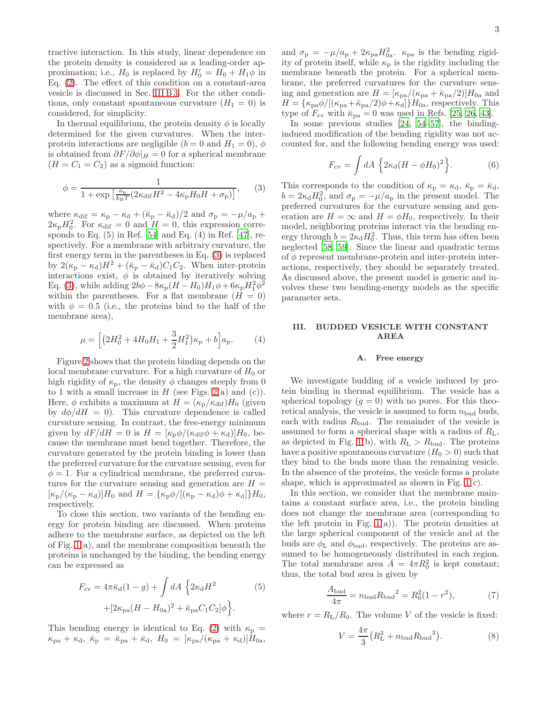tractive interaction. In this study, linear dependence on the protein density is considered as a leading-order approximation; i.e.,  $H_0$  is replaced by  $H'_0 = H_0 + H_1 \phi$  in Eq. [\(2\)](#page-1-0). The effect of this condition on a constant-area vesicle is discussed in Sec. [III B 3.](#page-7-1) For the other conditions, only constant spontaneous curvature  $(H_1 = 0)$  is considered, for simplicity.

In thermal equilibrium, the protein density  $\phi$  is locally determined for the given curvatures. When the interprotein interactions are negligible  $(b = 0 \text{ and } H_1 = 0), \phi$ is obtained from  $\partial F/\partial \phi|_H = 0$  for a spherical membrane  $(H = C_1 = C_2)$  as a sigmoid function:

<span id="page-2-1"></span>
$$
\phi = \frac{1}{1 + \exp\left[\frac{a_p}{k_B T} \left(2\kappa_{\text{dif}} H^2 - 4\kappa_p H_0 H + \sigma_p\right)\right]},\qquad(3)
$$

where  $\kappa_{\text{dif}} = \kappa_{\text{p}} - \kappa_{\text{d}} + (\bar{\kappa}_{\text{p}} - \bar{\kappa}_{\text{d}})/2$  and  $\sigma_{\text{p}} = -\mu/a_{\text{p}} +$  $2\kappa_{\rm p}H_0^2$ . For  $\kappa_{\rm dif} = 0$  and  $H = 0$ , this expression corresponds to Eq.  $(5)$  in Ref.  $[54]$  and Eq.  $(4)$  in Ref.  $[47]$ , respectively. For a membrane with arbitrary curvature, the first energy term in the parentheses in Eq. [\(3\)](#page-2-1) is replaced by  $2(\kappa_{\rm p} - \kappa_{\rm d})H^2 + (\bar{\kappa}_{\rm p} - \bar{\kappa}_{\rm d})C_1C_2$ . When inter-protein interactions exist,  $\phi$  is obtained by iteratively solving Eq. [\(3\)](#page-2-1), while adding  $2b\phi - 8\kappa_p (H - H_0)H_1 \phi + 6\kappa_p H_1^2 \phi^2$ within the parentheses. For a flat membrane  $(H = 0)$ with  $\phi = 0.5$  (i.e., the proteins bind to the half of the membrane area),

<span id="page-2-4"></span>
$$
\mu = \left[ \left( 2H_0^2 + 4H_0H_1 + \frac{3}{2}H_1^2 \right) \kappa_{\rm p} + b \right] a_{\rm p}.
$$
 (4)

Figure [2](#page-1-2) shows that the protein binding depends on the local membrane curvature. For a high curvature of  $H_0$  or high rigidity of  $\kappa_{\rm p}$ , the density  $\phi$  changes steeply from 0 to 1 with a small increase in  $H$  (see Figs. [2\(](#page-1-2)a) and (c)). Here,  $\phi$  exhibits a maximum at  $H = (\kappa_{\rm p}/\kappa_{\rm dif})H_0$  (given by  $d\phi/dH = 0$ . This curvature dependence is called curvature sensing. In contrast, the free-energy minimum given by  $dF/dH = 0$  is  $H = [\kappa_p \phi / (\kappa_{\text{dif}} \phi + \kappa_d)]H_0$ , because the membrane must bend together. Therefore, the curvature generated by the protein binding is lower than the preferred curvature for the curvature sensing, even for  $\phi = 1$ . For a cylindrical membrane, the preferred curvatures for the curvature sensing and generation are  $H =$  $[\kappa_{\rm p}/(\kappa_{\rm p}-\kappa_{\rm d})]H_0$  and  $H = {\kappa_{\rm p}\phi/[(\kappa_{\rm p}-\kappa_{\rm d})\phi+\kappa_{\rm d}]}H_0$ , respectively.

To close this section, two variants of the bending energy for protein binding are discussed. When proteins adhere to the membrane surface, as depicted on the left of Fig. [1\(](#page-1-1)a), and the membrane composition beneath the proteins is unchanged by the binding, the bending energy can be expressed as

$$
F_{\rm cv} = 4\pi \bar{\kappa}_{\rm d} (1 - g) + \int dA \left\{ 2\kappa_{\rm d} H^2 \right\} + \left[ 2\kappa_{\rm pa} (H - H_{0a})^2 + \bar{\kappa}_{\rm pa} C_1 C_2 \right] \phi \right\}.
$$
 (5)

This bending energy is identical to Eq. [\(2\)](#page-1-0) with  $\kappa_{\rm p}$  =  $\kappa_{\rm pa} + \kappa_{\rm d}, \ \bar{\kappa}_{\rm p} = \bar{\kappa}_{\rm pa} + \bar{\kappa}_{\rm d}, \ H_0 = [\kappa_{\rm pa}/(\kappa_{\rm pa} + \kappa_{\rm d})]H_{0{\rm a}},$ 

and  $\sigma_{\rm p} = -\mu/a_{\rm p} + 2\kappa_{\rm pa}H_{0a}^2$ .  $\kappa_{\rm pa}$  is the bending rigidity of protein itself, while  $\kappa_{\rm p}$  is the rigidity including the membrane beneath the protein. For a spherical membrane, the preferred curvatures for the curvature sensing and generation are  $H = [\kappa_{\rm pa}/(\kappa_{\rm pa} + \bar{\kappa}_{\rm pa}/2)]H_{0{\rm a}}$  and  $H = {\kappa_{\text{pa}}\phi/[(\kappa_{\text{pa}}+\bar{\kappa}_{\text{pa}}/2)\phi+\kappa_{\text{d}}]}H_{0a}$ , respectively. This type of  $F_{\rm cv}$  with  $\bar{\kappa}_{\rm pa} = 0$  was used in Refs. [\[25,](#page-12-35) [26,](#page-12-14) [43\]](#page-12-25).

In some previous studies [\[24,](#page-12-36) [54](#page-12-34)[–57](#page-12-37)], the bindinginduced modification of the bending rigidity was not accounted for, and the following bending energy was used:

$$
F_{\rm cv} = \int dA \left\{ 2\kappa_{\rm d}(H - \phi H_0)^2 \right\}.
$$
 (6)

This corresponds to the condition of  $\kappa_{\rm p} = \kappa_{\rm d}, \bar{\kappa}_{\rm p} = \bar{\kappa}_{\rm d}$ ,  $b = 2\kappa_{\rm d}H_0^2$ , and  $\sigma_{\rm p} = -\mu/a_{\rm p}$  in the present model. The preferred curvatures for the curvature sensing and generation are  $H = \infty$  and  $H = \phi H_0$ , respectively. In their model, neighboring proteins interact via the bending energy through  $b = 2\kappa_d H_0^2$ . Thus, this term has often been neglected [\[58,](#page-12-38) [59](#page-12-39)]. Since the linear and quadratic terms of  $\phi$  represent membrane-protein and inter-protein interactions, respectively, they should be separately treated. As discussed above, the present model is generic and involves these two bending-energy models as the specific parameter sets.

# <span id="page-2-0"></span>III. BUDDED VESICLE WITH CONSTANT AREA

#### A. Free energy

We investigate budding of a vesicle induced by protein binding in thermal equilibrium. The vesicle has a spherical topology  $(g = 0)$  with no pores. For this theoretical analysis, the vesicle is assumed to form  $n_{\text{bud}}$  buds, each with radius  $R_{\text{bud}}$ . The remainder of the vesicle is assumed to form a spherical shape with a radius of  $R_L$ , as depicted in Fig. [1\(](#page-1-1)b), with  $R_{\rm L} > R_{\rm bud}$ . The proteins have a positive spontaneous curvature  $(H_0 > 0)$  such that they bind to the buds more than the remaining vesicle. In the absence of the proteins, the vesicle forms a prolate shape, which is approximated as shown in Fig. [1\(](#page-1-1)c).

In this section, we consider that the membrane maintains a constant surface area, i.e., the protein binding does not change the membrane area (corresponding to the left protein in Fig.  $1(a)$ ). The protein densities at the large spherical component of the vesicle and at the buds are  $\phi$ <sub>L</sub> and  $\phi$ <sub>bud</sub>, respectively. The proteins are assumed to be homogeneously distributed in each region. The total membrane area  $A = 4\pi R_0^2$  is kept constant; thus, the total bud area is given by

<span id="page-2-2"></span>
$$
\frac{A_{\text{bud}}}{4\pi} = n_{\text{bud}} R_{\text{bud}}^2 = R_0^2 (1 - r^2),\tag{7}
$$

where  $r = R_{\rm L}/R_0$ . The volume V of the vesicle is fixed:

<span id="page-2-3"></span>
$$
V = \frac{4\pi}{3} (R_{\rm L}^3 + n_{\rm bud} R_{\rm bud}{}^3).
$$
 (8)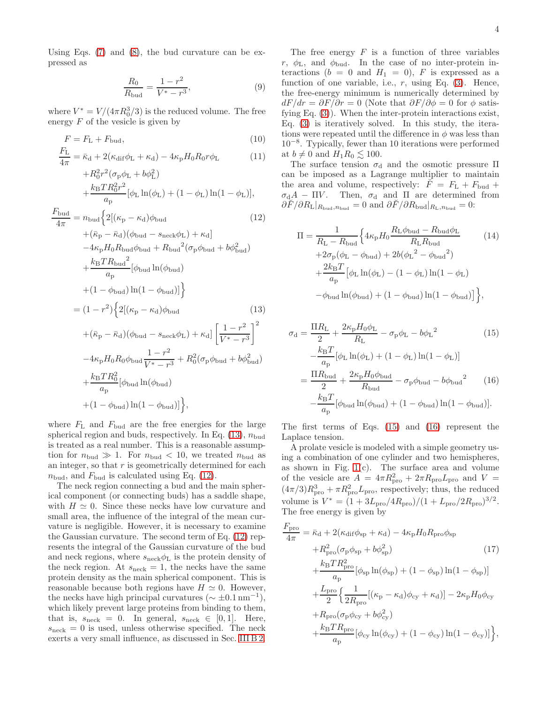Using Eqs. [\(7\)](#page-2-2) and [\(8\)](#page-2-3), the bud curvature can be expressed as

<span id="page-3-2"></span>
$$
\frac{R_0}{R_{\text{bud}}} = \frac{1 - r^2}{V^* - r^3},\tag{9}
$$

where  $V^* = V/(4\pi R_0^3/3)$  is the reduced volume. The free energy  $F$  of the vesicle is given by

<span id="page-3-0"></span>
$$
F = F_{\rm L} + F_{\rm bud},\tag{10}
$$

$$
\frac{F_{\rm L}}{4\pi} = \bar{\kappa}_{\rm d} + 2(\kappa_{\rm dif}\phi_{\rm L} + \kappa_{\rm d}) - 4\kappa_{\rm p}H_0R_0r\phi_{\rm L}
$$
 (11)

$$
+R_0^2 r^2 (\sigma_p \phi_L + b\phi_L^2)
$$
  
\n
$$
+ \frac{k_B T R_0^2 r^2}{a_p} [\phi_L \ln(\phi_L) + (1 - \phi_L) \ln(1 - \phi_L)],
$$
  
\n
$$
\frac{F_{\text{bud}}}{4\pi} = n_{\text{bud}} \Big\{ 2[(\kappa_p - \kappa_d)\phi_{\text{bud}} + ( \kappa_p - \bar{\kappa}_d) (\phi_{\text{bud}} - s_{\text{neck}}\phi_L) + \kappa_d ]
$$
  
\n
$$
- 4\kappa_p H_0 R_{\text{bud}}\phi_{\text{bud}} + R_{\text{bud}}^2 (\sigma_p \phi_{\text{bud}} + b\phi_{\text{bud}}^2)
$$
  
\n
$$
+ \frac{k_B T R_{\text{bud}}^2}{a_p} [\phi_{\text{bud}} \ln(\phi_{\text{bud}})
$$
  
\n
$$
+ (1 - \phi_{\text{bud}}) \ln(1 - \phi_{\text{bud}})] \Big\}
$$
  
\n
$$
= (1 - r^2) \Big\{ 2[(\kappa_p - \kappa_d)\phi_{\text{bud}} + (\bar{\kappa}_p - \bar{\kappa}_d)(\phi_{\text{bud}} - s_{\text{neck}}\phi_L) + \kappa_d] \Big[ \frac{1 - r^2}{V^* - r^3} \Big]^2
$$
  
\n
$$
-4\kappa_p H_0 R_0 \phi_{\text{bud}} \frac{1 - r^2}{V^* - r^3} + R_0^2 (\sigma_p \phi_{\text{bud}} + b\phi_{\text{bud}}^2)
$$

+
$$
\frac{k_{\rm B}TR_0^2}{a_{\rm p}}[\phi_{\rm bud}\ln(\phi_{\rm bud})
$$
  
+(1 -  $\phi_{\rm bud}$ )ln(1 -  $\phi_{\rm bud}$ )]},

where  $F_{\text{L}}$  and  $F_{\text{bud}}$  are the free energies for the large spherical region and buds, respectively. In Eq.  $(13)$ ,  $n_{\text{bud}}$ is treated as a real number. This is a reasonable assumption for  $n_{\text{bud}} \gg 1$ . For  $n_{\text{bud}} < 10$ , we treated  $n_{\text{bud}}$  as an integer, so that  $r$  is geometrically determined for each  $n_{\text{bud}}$ , and  $F_{\text{bud}}$  is calculated using Eq. [\(12\)](#page-3-0).

The neck region connecting a bud and the main spherical component (or connecting buds) has a saddle shape, with  $H \simeq 0$ . Since these necks have low curvature and small area, the influence of the integral of the mean curvature is negligible. However, it is necessary to examine the Gaussian curvature. The second term of Eq. [\(12\)](#page-3-0) represents the integral of the Gaussian curvature of the bud and neck regions, where  $s_{\text{neck}}\phi_L$  is the protein density of the neck region. At  $s_{\text{neck}} = 1$ , the necks have the same protein density as the main spherical component. This is reasonable because both regions have  $H \simeq 0$ . However, the necks have high principal curvatures ( $\sim \pm 0.1 \,\text{nm}^{-1}$ ), which likely prevent large proteins from binding to them, that is,  $s_{\text{neck}} = 0$ . In general,  $s_{\text{neck}} \in [0, 1]$ . Here,  $s_{\text{neck}} = 0$  is used, unless otherwise specified. The neck exerts a very small influence, as discussed in Sec. [III B 2.](#page-7-0)

The free energy  $F$  is a function of three variables  $r, \phi$ <sub>L</sub>, and  $\phi$ <sub>bud</sub>. In the case of no inter-protein interactions ( $b = 0$  and  $H_1 = 0$ ), F is expressed as a function of one variable, i.e.,  $r$ , using Eq. [\(3\)](#page-2-1). Hence, the free-energy minimum is numerically determined by  $dF/dr = \partial F/\partial r = 0$  (Note that  $\partial F/\partial \phi = 0$  for  $\phi$  satisfying Eq. [\(3\)](#page-2-1)). When the inter-protein interactions exist, Eq. [\(3\)](#page-2-1) is iteratively solved. In this study, the iterations were repeated until the difference in  $\phi$  was less than 10−<sup>8</sup> . Typically, fewer than 10 iterations were performed at  $b \neq 0$  and  $H_1R_0 \lesssim 100$ .

The surface tension  $\sigma_d$  and the osmotic pressure  $\Pi$ can be imposed as a Lagrange multiplier to maintain the area and volume, respectively:  $\tilde{F} = F_L + F_{\text{bud}} +$  $\sigma_d A - \Pi V$ . Then,  $\sigma_d$  and  $\Pi$  are determined from  $\partial \breve{F}/\partial R_{\rm L}|_{R_{\rm bud},n_{\rm bud}} = 0$  and  $\partial \breve{F}/\partial R_{\rm bud}|_{R_{\rm L},n_{\rm bud}} = 0$ :

$$
\Pi = \frac{1}{R_{\rm L} - R_{\rm bud}} \Big\{ 4\kappa_{\rm p} H_0 \frac{R_{\rm L}\phi_{\rm bud} - R_{\rm bud}\phi_{\rm L}}{R_{\rm L} R_{\rm bud}} + 2\sigma_{\rm p}(\phi_{\rm L} - \phi_{\rm bud}) + 2b(\phi_{\rm L}^2 - \phi_{\rm bud}^2) + \frac{2k_{\rm B}T}{a_{\rm p}} [\phi_{\rm L} \ln(\phi_{\rm L}) - (1 - \phi_{\rm L}) \ln(1 - \phi_{\rm L}) - \phi_{\rm bud} \ln(\phi_{\rm bud}) + (1 - \phi_{\rm bud}) \ln(1 - \phi_{\rm bud})] \Big\},
$$
\n(14)

<span id="page-3-1"></span>
$$
\sigma_{\rm d} = \frac{\Pi R_{\rm L}}{2} + \frac{2\kappa_{\rm p}H_0\phi_{\rm L}}{R_{\rm L}} - \sigma_{\rm p}\phi_{\rm L} - b\phi_{\rm L}^2
$$
(15)  

$$
-\frac{k_{\rm B}T}{a_{\rm p}}[\phi_{\rm L}\ln(\phi_{\rm L}) + (1 - \phi_{\rm L})\ln(1 - \phi_{\rm L})]
$$

$$
=\frac{\Pi R_{\rm bud}}{2} + \frac{2\kappa_{\rm p}H_0\phi_{\rm bud}}{R_{\rm bud}} - \sigma_{\rm p}\phi_{\rm bud} - b\phi_{\rm bud}^2
$$
(16)
$$
-\frac{k_{\rm B}T}{a_{\rm p}}[\phi_{\rm bud}\ln(\phi_{\rm bud}) + (1 - \phi_{\rm bud})\ln(1 - \phi_{\rm bud})].
$$

The first terms of Eqs. [\(15\)](#page-3-1) and [\(16\)](#page-3-1) represent the Laplace tension.

A prolate vesicle is modeled with a simple geometry using a combination of one cylinder and two hemispheres, as shown in Fig.  $1(c)$ . The surface area and volume of the vesicle are  $A = 4\pi R_{\text{pro}}^2 + 2\pi R_{\text{pro}} L_{\text{pro}}$  and  $V =$  $(4\pi/3)R_{\text{pro}}^3 + \pi R_{\text{pro}}^2 L_{\text{pro}}$ , respectively; thus, the reduced volume is  $V^* = (1 + 3L_{\rm pro}/4R_{\rm pro})/(1 + L_{\rm pro}/2R_{\rm pro})^{3/2}$ . The free energy is given by

$$
\frac{F_{\rm pro}}{4\pi} = \bar{\kappa}_{\rm d} + 2(\kappa_{\rm dif}\phi_{\rm sp} + \kappa_{\rm d}) - 4\kappa_{\rm p}H_0R_{\rm pro}\phi_{\rm sp}
$$
\n
$$
+ R_{\rm pro}^2(\sigma_{\rm p}\phi_{\rm sp} + b\phi_{\rm sp}^2) \tag{17}
$$
\n
$$
+ \frac{k_{\rm B}TR_{\rm pro}^2}{a_{\rm p}}[\phi_{\rm sp}\ln(\phi_{\rm sp}) + (1 - \phi_{\rm sp})\ln(1 - \phi_{\rm sp})]
$$
\n
$$
+ \frac{L_{\rm pro}}{2}\left\{\frac{1}{2R_{\rm pro}}[(\kappa_{\rm p} - \kappa_{\rm d})\phi_{\rm cy} + \kappa_{\rm d})] - 2\kappa_{\rm p}H_0\phi_{\rm cy}
$$
\n
$$
+ R_{\rm pro}(\sigma_{\rm p}\phi_{\rm cy} + b\phi_{\rm cy}^2)
$$
\n
$$
+ \frac{k_{\rm B}TR_{\rm pro}}{a_{\rm p}}[\phi_{\rm cy}\ln(\phi_{\rm cy}) + (1 - \phi_{\rm cy})\ln(1 - \phi_{\rm cy})],
$$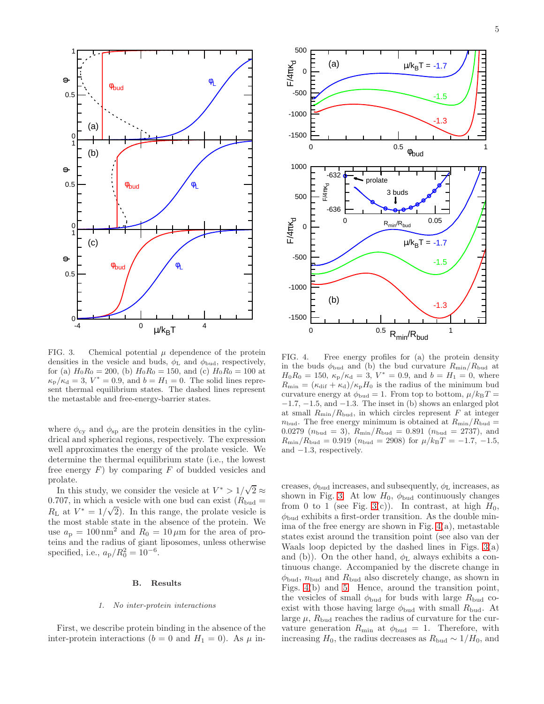

<span id="page-4-0"></span>FIG. 3. Chemical potential  $\mu$  dependence of the protein densities in the vesicle and buds,  $\phi$ <sub>L</sub> and  $\phi$ <sub>bud</sub>, respectively, for (a)  $H_0R_0 = 200$ , (b)  $H_0R_0 = 150$ , and (c)  $H_0R_0 = 100$  at  $\kappa_{\rm p}/\kappa_{\rm d}=3, V^*=0.9,$  and  $b=H_1=0$ . The solid lines represent thermal equilibrium states. The dashed lines represent the metastable and free-energy-barrier states.

where  $\phi_{cy}$  and  $\phi_{sp}$  are the protein densities in the cylindrical and spherical regions, respectively. The expression well approximates the energy of the prolate vesicle. We determine the thermal equilibrium state (i.e., the lowest free energy  $F$ ) by comparing  $F$  of budded vesicles and prolate.

In this study, we consider the vesicle at  $V^* > 1/\sqrt{2} \approx$ 0.707, in which a vesicle with one bud can exist  $(R_{\text{bud}} =$  $R_{\text{L}}$  at  $V^* = 1/\sqrt{2}$ . In this range, the prolate vesicle is the most stable state in the absence of the protein. We use  $a_p = 100 \text{ nm}^2$  and  $R_0 = 10 \mu \text{m}$  for the area of proteins and the radius of giant liposomes, unless otherwise specified, i.e.,  $a_{\rm p}/R_0^2 = 10^{-6}$ .

#### B. Results

#### 1. No inter-protein interactions

First, we describe protein binding in the absence of the inter-protein interactions ( $b = 0$  and  $H_1 = 0$ ). As  $\mu$  in-



<span id="page-4-1"></span>FIG. 4. Free energy profiles for (a) the protein density in the buds  $\phi_{\text{bud}}$  and (b) the bud curvature  $R_{\text{min}}/R_{\text{bud}}$  at  $H_0R_0 = 150, \ \kappa_p/\kappa_d = 3, \ V^* = 0.9, \text{ and } b = H_1 = 0, \text{ where}$  $R_{\min} = (\kappa_{\text{dif}} + \kappa_{\text{d}})/\kappa_{\text{p}}H_0$  is the radius of the minimum bud curvature energy at  $\phi_{\text{bud}} = 1$ . From top to bottom,  $\mu/k_BT =$  $-1.7, -1.5,$  and  $-1.3$ . The inset in (b) shows an enlarged plot at small  $R_{\text{min}}/R_{\text{bud}}$ , in which circles represent F at integer  $n_{\text{bud}}$ . The free energy minimum is obtained at  $R_{\text{min}}/R_{\text{bud}} =$ 0.0279 ( $n_{\text{bud}} = 3$ ),  $R_{\text{min}}/R_{\text{bud}} = 0.891$  ( $n_{\text{bud}} = 2737$ ), and  $R_{\text{min}}/R_{\text{bud}} = 0.919$  ( $n_{\text{bud}} = 2908$ ) for  $\mu/k_BT = -1.7, -1.5,$ and −1.3, respectively.

creases,  $\phi_{\text{bud}}$  increases, and subsequently,  $\phi_{\text{L}}$  increases, as shown in Fig. [3.](#page-4-0) At low  $H_0$ ,  $\phi_{\text{bud}}$  continuously changes from 0 to 1 (see Fig. [3\(](#page-4-0)c)). In contrast, at high  $H_0$ ,  $\phi_{\text{bud}}$  exhibits a first-order transition. As the double minima of the free energy are shown in Fig. [4\(](#page-4-1)a), metastable states exist around the transition point (see also van der Waals loop depicted by the dashed lines in Figs. [3\(](#page-4-0)a) and (b)). On the other hand,  $\phi$ <sub>L</sub> always exhibits a continuous change. Accompanied by the discrete change in  $\phi_{\text{bud}}$ ,  $n_{\text{bud}}$  and  $R_{\text{bud}}$  also discretely change, as shown in Figs. [4\(](#page-4-1)b) and [5.](#page-5-0) Hence, around the transition point, the vesicles of small  $\phi_{\text{bud}}$  for buds with large  $R_{\text{bud}}$  coexist with those having large  $\phi_{\text{bud}}$  with small  $R_{\text{bud}}$ . At large  $\mu$ ,  $R_{\text{bud}}$  reaches the radius of curvature for the curvature generation  $R_{\text{min}}$  at  $\phi_{\text{bud}} = 1$ . Therefore, with increasing  $H_0$ , the radius decreases as  $R_{\text{bud}} \sim 1/H_0$ , and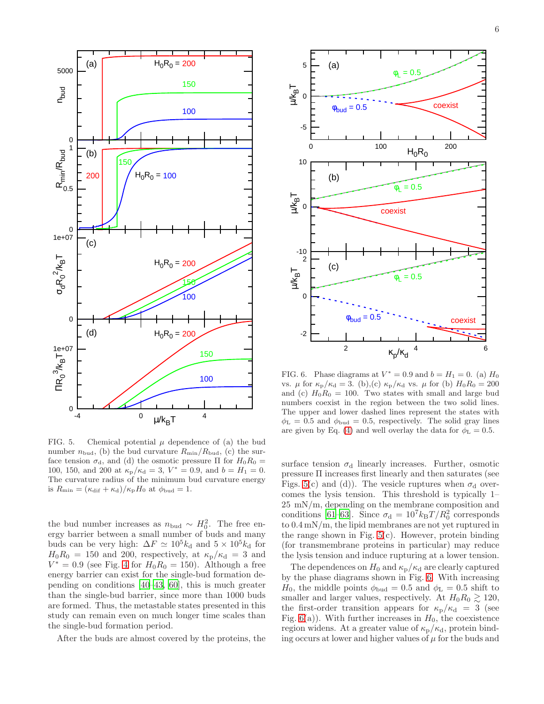

<span id="page-5-0"></span>FIG. 5. Chemical potential  $\mu$  dependence of (a) the bud number  $n_{\text{bud}}$ , (b) the bud curvature  $R_{\text{min}}/R_{\text{bud}}$ , (c) the surface tension  $\sigma_{d}$ , and (d) the osmotic pressure  $\Pi$  for  $H_0R_0 =$ 100, 150, and 200 at  $\kappa_p / \kappa_d = 3$ ,  $V^* = 0.9$ , and  $b = H_1 = 0$ . The curvature radius of the minimum bud curvature energy is  $R_{\min} = (\kappa_{\text{dif}} + \kappa_{\text{d}})/\kappa_{\text{p}}H_0$  at  $\phi_{\text{bud}} = 1$ .

the bud number increases as  $n_{\text{bud}} \sim H_0^2$ . The free energy barrier between a small number of buds and many buds can be very high:  $\Delta F \simeq 10^5 k_d$  and  $5 \times 10^5 k_d$  for  $H_0R_0 = 150$  and 200, respectively, at  $\kappa_p/\kappa_d = 3$  and  $V^* = 0.9$  (see Fig. [4](#page-4-1) for  $H_0R_0 = 150$ ). Although a free energy barrier can exist for the single-bud formation depending on conditions [\[40–](#page-12-24)[43,](#page-12-25) [60](#page-12-40)], this is much greater than the single-bud barrier, since more than 1000 buds are formed. Thus, the metastable states presented in this study can remain even on much longer time scales than the single-bud formation period.

After the buds are almost covered by the proteins, the



<span id="page-5-1"></span>FIG. 6. Phase diagrams at  $V^* = 0.9$  and  $b = H_1 = 0$ . (a)  $H_0$ vs.  $\mu$  for  $\kappa_{\rm p}/\kappa_{\rm d} = 3$ . (b),(c)  $\kappa_{\rm p}/\kappa_{\rm d}$  vs.  $\mu$  for (b)  $H_0R_0 = 200$ and (c)  $H_0R_0 = 100$ . Two states with small and large bud numbers coexist in the region between the two solid lines. The upper and lower dashed lines represent the states with  $\phi_{\rm L} = 0.5$  and  $\phi_{\rm bud} = 0.5$ , respectively. The solid gray lines are given by Eq. [\(4\)](#page-2-4) and well overlay the data for  $\phi_{\rm L} = 0.5$ .

surface tension  $\sigma_d$  linearly increases. Further, osmotic pressure Π increases first linearly and then saturates (see Figs. [5\(](#page-5-0)c) and (d)). The vesicle ruptures when  $\sigma_d$  overcomes the lysis tension. This threshold is typically 1– 25 mN/m, depending on the membrane composition and conditions [\[61](#page-12-41)[–63\]](#page-12-42). Since  $\sigma_d = 10^7 k_B T/R_0^2$  corresponds to 0.4 mN/m, the lipid membranes are not yet ruptured in the range shown in Fig.  $5(c)$ . However, protein binding (for transmembrane proteins in particular) may reduce the lysis tension and induce rupturing at a lower tension.

The dependences on  $H_0$  and  $\kappa_{\rm p}/\kappa_{\rm d}$  are clearly captured by the phase diagrams shown in Fig. [6.](#page-5-1) With increasing  $H_0$ , the middle points  $\phi_{\text{bud}} = 0.5$  and  $\phi_{\text{L}} = 0.5$  shift to smaller and larger values, respectively. At  $H_0R_0 \gtrsim 120$ , the first-order transition appears for  $\kappa_{\rm p}/\kappa_{\rm d}$  = 3 (see Fig.  $6(a)$ ). With further increases in  $H_0$ , the coexistence region widens. At a greater value of  $\kappa_{\rm p}/\kappa_{\rm d}$ , protein binding occurs at lower and higher values of  $\mu$  for the buds and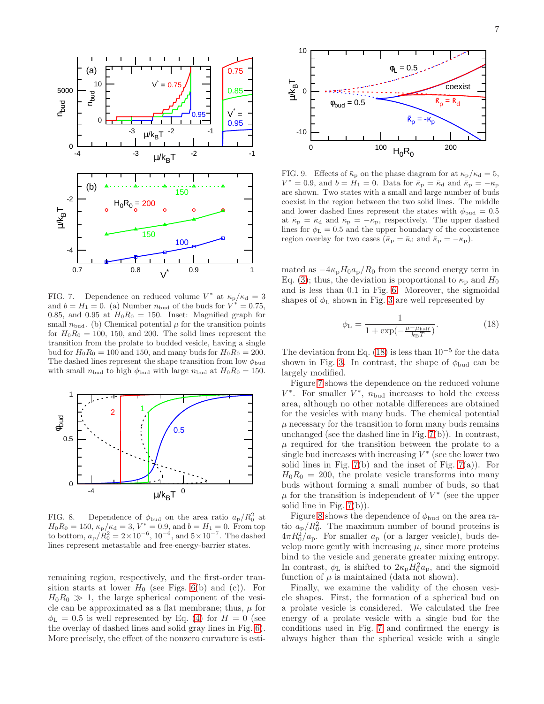

<span id="page-6-1"></span>FIG. 7. Dependence on reduced volume  $V^*$  at  $\kappa_{\rm p}/\kappa_{\rm d}=3$ and  $b = H_1 = 0$ . (a) Number  $n_{\text{bud}}$  of the buds for  $V^* = 0.75$ , 0.85, and 0.95 at  $H_0R_0 = 150$ . Inset: Magnified graph for small  $n_{\text{bud}}$ . (b) Chemical potential  $\mu$  for the transition points for  $H_0R_0 = 100$ , 150, and 200. The solid lines represent the transition from the prolate to budded vesicle, having a single bud for  $H_0R_0 = 100$  and 150, and many buds for  $H_0R_0 = 200$ . The dashed lines represent the shape transition from low  $\phi_{\text{bud}}$ with small  $n_{\text{bud}}$  to high  $\phi_{\text{bud}}$  with large  $n_{\text{bud}}$  at  $H_0R_0 = 150$ .



<span id="page-6-2"></span>FIG. 8. Dependence of  $\phi_{\text{bud}}$  on the area ratio  $a_{\text{p}}/R_0^2$  at  $H_0R_0 = 150, \, \kappa_p/\kappa_d = 3, \, V^* = 0.9, \, \text{and } b = H_1 = 0. \, \text{From top}$ to bottom,  $a_p/R_0^2 = 2 \times 10^{-6}$ ,  $10^{-6}$ , and  $5 \times 10^{-7}$ . The dashed lines represent metastable and free-energy-barrier states.

remaining region, respectively, and the first-order transition starts at lower  $H_0$  (see Figs. [6\(](#page-5-1)b) and (c)). For  $H_0R_0 \gg 1$ , the large spherical component of the vesicle can be approximated as a flat membrane; thus,  $\mu$  for  $\phi_{\rm L} = 0.5$  is well represented by Eq. [\(4\)](#page-2-4) for  $H = 0$  (see the overlay of dashed lines and solid gray lines in Fig. [6\)](#page-5-1). More precisely, the effect of the nonzero curvature is esti-



<span id="page-6-3"></span>FIG. 9. Effects of  $\bar{\kappa}_p$  on the phase diagram for at  $\kappa_p/\kappa_d = 5$ ,  $V^* = 0.9$ , and  $b = H_1 = 0$ . Data for  $\bar{\kappa}_p = \bar{\kappa}_q$  and  $\bar{\kappa}_p = -\kappa_p$ are shown. Two states with a small and large number of buds coexist in the region between the two solid lines. The middle and lower dashed lines represent the states with  $\phi_{\text{bud}} = 0.5$ at  $\bar{\kappa}_{\text{p}} = \bar{\kappa}_{\text{d}}$  and  $\bar{\kappa}_{\text{p}} = -\kappa_{\text{p}}$ , respectively. The upper dashed lines for  $\phi$ <sub>L</sub> = 0.5 and the upper boundary of the coexistence region overlay for two cases ( $\bar{\kappa}_{\rm p} = \bar{\kappa}_{\rm d}$  and  $\bar{\kappa}_{\rm p} = -\kappa_{\rm p}$ ).

mated as  $-4\kappa_{\rm p}H_0a_{\rm p}/R_0$  from the second energy term in Eq. [\(3\)](#page-2-1); thus, the deviation is proportional to  $\kappa_{\rm p}$  and  $H_0$ and is less than 0.1 in Fig. [6.](#page-5-1) Moreover, the sigmoidal shapes of  $\phi_L$  shown in Fig. [3](#page-4-0) are well represented by

<span id="page-6-0"></span>
$$
\phi_{\rm L} = \frac{1}{1 + \exp(-\frac{\mu - \mu_{\rm half}}{k_{\rm B}T})}.
$$
(18)

The deviation from Eq. [\(18\)](#page-6-0) is less than  $10^{-5}$  for the data shown in Fig. [3.](#page-4-0) In contrast, the shape of  $\phi_{\text{bud}}$  can be largely modified.

Figure [7](#page-6-1) shows the dependence on the reduced volume  $V^*$ . For smaller  $V^*$ ,  $n_{\text{bud}}$  increases to hold the excess area, although no other notable differences are obtained for the vesicles with many buds. The chemical potential  $\mu$  necessary for the transition to form many buds remains unchanged (see the dashed line in Fig. [7\(](#page-6-1)b)). In contrast,  $\mu$  required for the transition between the prolate to a  $\sin$  bud increases with increasing  $V^*$  (see the lower two solid lines in Fig.  $7(b)$  and the inset of Fig.  $7(a)$ ). For  $H_0R_0 = 200$ , the prolate vesicle transforms into many buds without forming a small number of buds, so that  $\mu$  for the transition is independent of  $V^*$  (see the upper solid line in Fig. [7\(](#page-6-1)b)).

Figure [8](#page-6-2) shows the dependence of  $\phi_{\text{bud}}$  on the area ratio  $a_p/R_0^2$ . The maximum number of bound proteins is  $4\pi R_0^2/a_p$ . For smaller  $a_p$  (or a larger vesicle), buds develop more gently with increasing  $\mu$ , since more proteins bind to the vesicle and generate greater mixing entropy. In contrast,  $\phi$ <sub>L</sub> is shifted to  $2\kappa_{\rm p}H_0^2a_{\rm p}$ , and the sigmoid function of  $\mu$  is maintained (data not shown).

Finally, we examine the validity of the chosen vesicle shapes. First, the formation of a spherical bud on a prolate vesicle is considered. We calculated the free energy of a prolate vesicle with a single bud for the conditions used in Fig. [7](#page-6-1) and confirmed the energy is always higher than the spherical vesicle with a single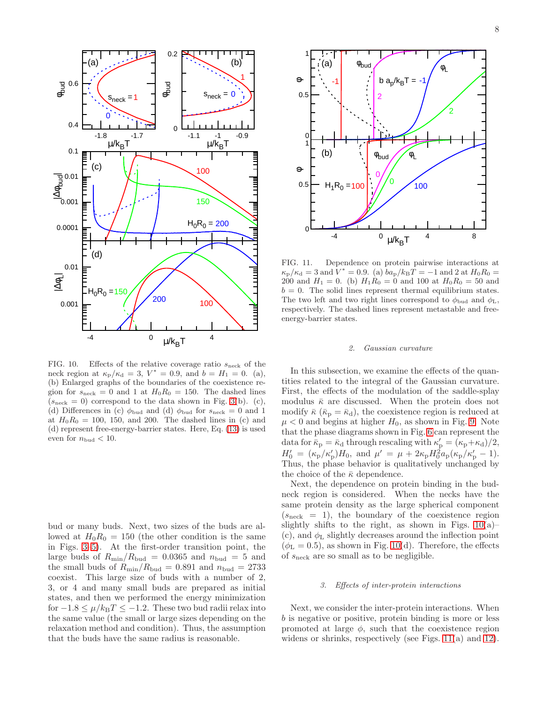

<span id="page-7-2"></span>FIG. 10. Effects of the relative coverage ratio  $s_{\text{neck}}$  of the neck region at  $\kappa_{\rm p}/\kappa_{\rm d} = 3, V^* = 0.9,$  and  $b = H_1 = 0.$  (a), (b) Enlarged graphs of the boundaries of the coexistence region for  $s_{\text{neck}} = 0$  and 1 at  $H_0 R_0 = 150$ . The dashed lines  $(s_{\text{neck}} = 0)$  correspond to the data shown in Fig. [3\(](#page-4-0)b). (c), (d) Differences in (c)  $\phi_{\text{bud}}$  and (d)  $\phi_{\text{bud}}$  for  $s_{\text{neck}} = 0$  and 1 at  $H_0R_0 = 100$ , 150, and 200. The dashed lines in (c) and (d) represent free-energy-barrier states. Here, Eq. [\(13\)](#page-3-0) is used even for  $n_{\text{bud}} < 10$ .

bud or many buds. Next, two sizes of the buds are allowed at  $H_0R_0 = 150$  (the other condition is the same in Figs. [3](#page-4-0)[–5\)](#page-5-0). At the first-order transition point, the large buds of  $R_{\text{min}}/R_{\text{bud}} = 0.0365$  and  $n_{\text{bud}} = 5$  and the small buds of  $R_{\text{min}}/R_{\text{bud}} = 0.891$  and  $n_{\text{bud}} = 2733$ coexist. This large size of buds with a number of 2, 3, or 4 and many small buds are prepared as initial states, and then we performed the energy minimization for  $-1.8 \leq \mu/k_BT \leq -1.2$ . These two bud radii relax into the same value (the small or large sizes depending on the relaxation method and condition). Thus, the assumption that the buds have the same radius is reasonable.



<span id="page-7-3"></span>FIG. 11. Dependence on protein pairwise interactions at  $\kappa_{\rm p}/\kappa_{\rm d} = 3$  and  $\dot{V}^* = 0.9$ . (a)  $b a_{\rm p}/k_{\rm B}T = -1$  and 2 at  $H_0 R_0 =$ 200 and  $H_1 = 0$ . (b)  $H_1R_0 = 0$  and 100 at  $H_0R_0 = 50$  and  $b = 0$ . The solid lines represent thermal equilibrium states. The two left and two right lines correspond to  $\phi_{\text{bud}}$  and  $\phi_{\text{L}}$ , respectively. The dashed lines represent metastable and freeenergy-barrier states.

#### <span id="page-7-0"></span>2. Gaussian curvature

In this subsection, we examine the effects of the quantities related to the integral of the Gaussian curvature. First, the effects of the modulation of the saddle-splay modulus  $\bar{\kappa}$  are discussed. When the protein does not modify  $\bar{\kappa}$  ( $\bar{\kappa}_p = \bar{\kappa}_d$ ), the coexistence region is reduced at  $\mu$  < 0 and begins at higher  $H_0$ , as shown in Fig. [9.](#page-6-3) Note that the phase diagrams shown in Fig. [6](#page-5-1) can represent the data for  $\bar{k}_{\rm p} = \bar{k}_{\rm d}$  through rescaling with  $\kappa'_{\rm p} = (\kappa_{\rm p} + \kappa_{\rm d})/2$ ,  $H'_0 = (\kappa_{\rm p}/\kappa'_{\rm p})H_0$ , and  $\mu' = \mu + 2\kappa_{\rm p}H_0^2 a_{\rm p}(\kappa_{\rm p}/\kappa'_{\rm p} - 1)$ . Thus, the phase behavior is qualitatively unchanged by the choice of the  $\bar{\kappa}$  dependence.

Next, the dependence on protein binding in the budneck region is considered. When the necks have the same protein density as the large spherical component  $(s_{\text{neck}} = 1)$ , the boundary of the coexistence region slightly shifts to the right, as shown in Figs.  $10(a)$ – (c), and  $\phi$ <sub>L</sub> slightly decreases around the inflection point  $(\phi_L = 0.5)$ , as shown in Fig. [10\(](#page-7-2)d). Therefore, the effects of  $s_{\text{neck}}$  are so small as to be negligible.

# <span id="page-7-1"></span>3. Effects of inter-protein interactions

Next, we consider the inter-protein interactions. When b is negative or positive, protein binding is more or less promoted at large  $\phi$ , such that the coexistence region widens or shrinks, respectively (see Figs. [11\(](#page-7-3)a) and [12\)](#page-8-0).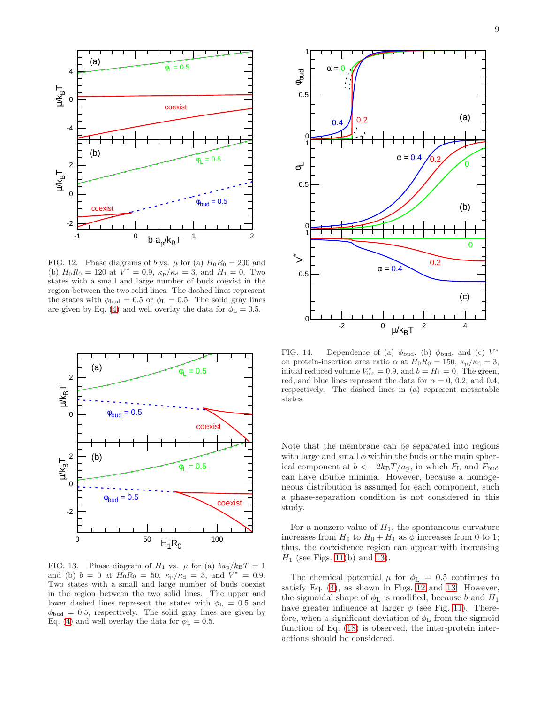

<span id="page-8-0"></span>FIG. 12. Phase diagrams of b vs.  $\mu$  for (a)  $H_0R_0 = 200$  and (b)  $H_0 R_0 = 120$  at  $V^* = 0.9$ ,  $\kappa_p / \kappa_d = 3$ , and  $H_1 = 0$ . Two states with a small and large number of buds coexist in the region between the two solid lines. The dashed lines represent the states with  $\phi_{\text{bud}} = 0.5$  or  $\phi_{\text{L}} = 0.5$ . The solid gray lines are given by Eq. [\(4\)](#page-2-4) and well overlay the data for  $\phi_{\rm L} = 0.5$ .



<span id="page-8-1"></span>FIG. 13. Phase diagram of  $H_1$  vs.  $\mu$  for (a)  $ba_p/k_BT = 1$ and (b)  $b = 0$  at  $H_0 R_0 = 50$ ,  $\kappa_p / \kappa_d = 3$ , and  $V^* = 0.9$ . Two states with a small and large number of buds coexist in the region between the two solid lines. The upper and lower dashed lines represent the states with  $\phi_{\text{L}} = 0.5$  and  $\phi_{\text{bud}} = 0.5$ , respectively. The solid gray lines are given by Eq. [\(4\)](#page-2-4) and well overlay the data for  $\phi$ <sub>L</sub> = 0.5.



<span id="page-8-2"></span>FIG. 14. Dependence of (a)  $\phi_{\text{bud}}$ , (b)  $\phi_{\text{bud}}$ , and (c)  $V^*$ on protein-insertion area ratio  $\alpha$  at  $H_0R_0 = 150$ ,  $\kappa_{\rm p}/\kappa_{\rm d} = 3$ , initial reduced volume  $V_{\text{int}}^* = 0.9$ , and  $b = H_1 = 0$ . The green, red, and blue lines represent the data for  $\alpha = 0, 0.2,$  and 0.4, respectively. The dashed lines in (a) represent metastable states.

Note that the membrane can be separated into regions with large and small  $\phi$  within the buds or the main spherical component at  $b < -2k_BT/a_p$ , in which  $F<sub>L</sub>$  and  $F<sub>bud</sub>$ can have double minima. However, because a homogeneous distribution is assumed for each component, such a phase-separation condition is not considered in this study.

For a nonzero value of  $H_1$ , the spontaneous curvature increases from  $H_0$  to  $H_0 + H_1$  as  $\phi$  increases from 0 to 1; thus, the coexistence region can appear with increasing  $H_1$  (see Figs. [11\(](#page-7-3)b) and [13\)](#page-8-1).

The chemical potential  $\mu$  for  $\phi_L = 0.5$  continues to satisfy Eq. [\(4\)](#page-2-4), as shown in Figs. [12](#page-8-0) and [13.](#page-8-1) However, the sigmoidal shape of  $\phi$ <sub>L</sub> is modified, because b and  $H_1$ have greater influence at larger  $\phi$  (see Fig. [11\)](#page-7-3). Therefore, when a significant deviation of  $\phi_L$  from the sigmoid function of Eq. [\(18\)](#page-6-0) is observed, the inter-protein interactions should be considered.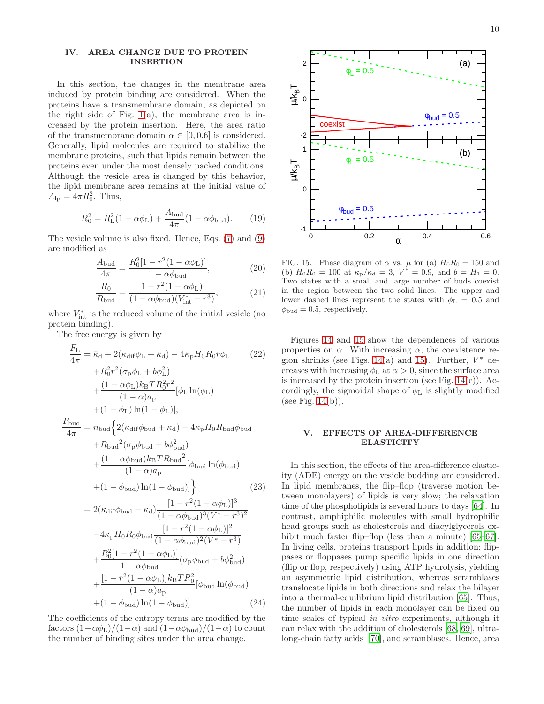# <span id="page-9-0"></span>IV. AREA CHANGE DUE TO PROTEIN INSERTION

In this section, the changes in the membrane area induced by protein binding are considered. When the proteins have a transmembrane domain, as depicted on the right side of Fig. [1\(](#page-1-1)a), the membrane area is increased by the protein insertion. Here, the area ratio of the transmembrane domain  $\alpha \in [0, 0.6]$  is considered. Generally, lipid molecules are required to stabilize the membrane proteins, such that lipids remain between the proteins even under the most densely packed conditions. Although the vesicle area is changed by this behavior, the lipid membrane area remains at the initial value of  $A_{\rm lp} = 4\pi R_0^2$ . Thus,

$$
R_0^2 = R_{\rm L}^2 (1 - \alpha \phi_{\rm L}) + \frac{A_{\rm bud}}{4\pi} (1 - \alpha \phi_{\rm bud}).
$$
 (19)

The vesicle volume is also fixed. Hence, Eqs. [\(7\)](#page-2-2) and [\(9\)](#page-3-2) are modified as

$$
\frac{A_{\text{bud}}}{4\pi} = \frac{R_0^2 [1 - r^2 (1 - \alpha \phi_{\text{L}})]}{1 - \alpha \phi_{\text{bud}}},
$$
\n(20)

$$
\frac{R_0}{R_{\text{bud}}} = \frac{1 - r^2 (1 - \alpha \phi_{\text{L}})}{(1 - \alpha \phi_{\text{bud}})(V_{\text{int}}^* - r^3)},
$$
(21)

where  $V_{\text{int}}^*$  is the reduced volume of the initial vesicle (no protein binding).

The free energy is given by

$$
\frac{F_{\rm L}}{4\pi} = \bar{\kappa}_{\rm d} + 2(\kappa_{\rm dif}\phi_{\rm L} + \kappa_{\rm d}) - 4\kappa_{\rm p}H_0R_0r\phi_{\rm L}
$$
(22)  
\n
$$
+R_0^2r^2(\sigma_{\rm p}\phi_{\rm L} + b\phi_{\rm L}^2)
$$
\n
$$
+\frac{(1-\alpha\phi_{\rm L})k_{\rm B}TR_0^2r^2}{(1-\alpha)a_{\rm p}}[\phi_{\rm L}\ln(\phi_{\rm L})
$$
\n
$$
+(1-\phi_{\rm L})\ln(1-\phi_{\rm L})],
$$
\n
$$
\frac{F_{\rm bud}}{4\pi} = n_{\rm bud}\Big\{2(\kappa_{\rm dif}\phi_{\rm bud} + \kappa_{\rm d}) - 4\kappa_{\rm p}H_0R_{\rm bud}\phi_{\rm bud} + R_{\rm bud}^2(\sigma_{\rm p}\phi_{\rm bud} + b\phi_{\rm bud}^2)
$$
\n
$$
(1-\alpha\phi_{\rm b-d})k_{\rm p}TR_{\rm bol}^2
$$

$$
+\frac{(1 - \alpha \varphi_{\text{Bud}}) \kappa_{\text{B}} \cdot \kappa_{\text{Bud}}}{(1 - \alpha) a_{\text{p}}}
$$
 [\phi\_{\text{bud}} ln(\phi\_{\text{bud}})  
+(1 - \phi\_{\text{bud}}) ln(1 - \phi\_{\text{bud}})] (23)  
= 2(\kappa\_{\text{dif}} \phi\_{\text{bud}} + \kappa\_{\text{d}}) \frac{[1 - r^2 (1 - \alpha \phi\_{\text{L}})]^3}{(1 - \alpha \phi\_{\text{bud}})^3 (V^\* - r^3)^2}  
-4\kappa\_{\text{p}} H\_0 R\_0 \phi\_{\text{bud}} \frac{[1 - r^2 (1 - \alpha \phi\_{\text{L}})]^2}{(1 - \alpha \phi\_{\text{bud}})^2 (V^\* - r^3)}

$$
+\frac{R_0^2[1-r^2(1-\alpha\phi_L)]}{1-\alpha\phi_{\text{bud}}}\left(\sigma_p\phi_{\text{bud}}+b\phi_{\text{bud}}^2\right)
$$

$$
+\frac{[1-r^2(1-\alpha\phi_L)]k_BTR_0^2}{(1-\alpha)a_p}[\phi_{\text{bud}}\ln(\phi_{\text{bud}})
$$

$$
+(1-\phi_{\text{bud}})\ln(1-\phi_{\text{bud}})].
$$
(24)

The coefficients of the entropy terms are modified by the factors  $(1-\alpha\phi_L)/(1-\alpha)$  and  $(1-\alpha\phi_{\text{bud}})/(1-\alpha)$  to count the number of binding sites under the area change.



<span id="page-9-2"></span>FIG. 15. Phase diagram of  $\alpha$  vs.  $\mu$  for (a)  $H_0R_0 = 150$  and (b)  $H_0 R_0 = 100$  at  $\kappa_p / \kappa_d = 3$ ,  $V^* = 0.9$ , and  $b = H_1 = 0$ . Two states with a small and large number of buds coexist in the region between the two solid lines. The upper and lower dashed lines represent the states with  $\phi_{\text{L}} = 0.5$  and  $\phi_{\text{bud}} = 0.5$ , respectively.

Figures [14](#page-8-2) and [15](#page-9-2) show the dependences of various properties on  $\alpha$ . With increasing  $\alpha$ , the coexistence re-gion shrinks (see Figs. [14\(](#page-8-2)a) and [15\)](#page-9-2). Further,  $V^*$  decreases with increasing  $\phi$ <sub>L</sub> at  $\alpha > 0$ , since the surface area is increased by the protein insertion (see Fig.  $14(c)$ ). Accordingly, the sigmoidal shape of  $\phi$ <sub>L</sub> is slightly modified (see Fig.  $14(b)$ ).

## <span id="page-9-1"></span>V. EFFECTS OF AREA-DIFFERENCE ELASTICITY

In this section, the effects of the area-difference elasticity (ADE) energy on the vesicle budding are considered. In lipid membranes, the flip–flop (traverse motion between monolayers) of lipids is very slow; the relaxation time of the phospholipids is several hours to days [\[64](#page-12-43)]. In contrast, amphiphilic molecules with small hydrophilic head groups such as cholesterols and diacylglycerols ex-hibit much faster flip–flop (less than a minute) [\[65](#page-12-44)[–67\]](#page-12-45). In living cells, proteins transport lipids in addition; flippases or floppases pump specific lipids in one direction (flip or flop, respectively) using ATP hydrolysis, yielding an asymmetric lipid distribution, whereas scramblases translocate lipids in both directions and relax the bilayer into a thermal-equilibrium lipid distribution [\[65\]](#page-12-44). Thus, the number of lipids in each monolayer can be fixed on time scales of typical in vitro experiments, although it can relax with the addition of cholesterols [\[68,](#page-12-46) [69](#page-12-47)], ultralong-chain fatty acids [\[70](#page-12-48)], and scramblases. Hence, area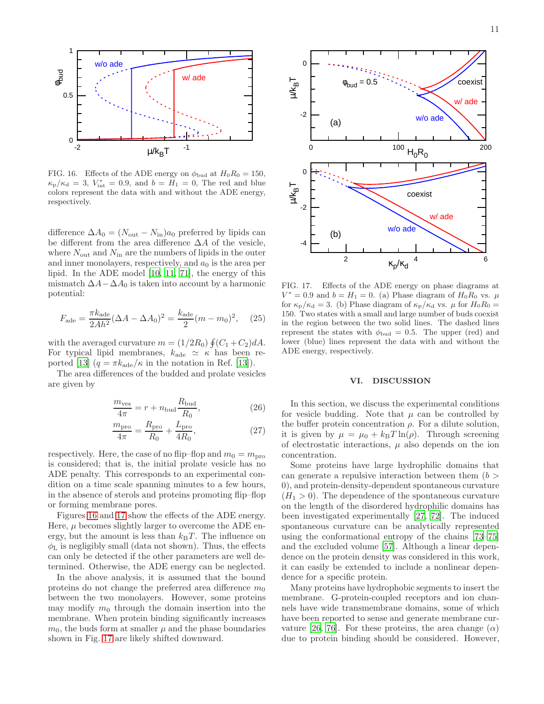

<span id="page-10-1"></span>FIG. 16. Effects of the ADE energy on  $\phi_{\text{bud}}$  at  $H_0R_0 = 150$ ,  $\kappa_{\rm p}/\kappa_{\rm d} = 3$ ,  $V_{\rm int}^* = 0.9$ , and  $b = H_1 = 0$ , The red and blue colors represent the data with and without the ADE energy, respectively.

difference  $\Delta A_0 = (N_{\text{out}} - N_{\text{in}})a_0$  preferred by lipids can be different from the area difference  $\Delta A$  of the vesicle, where  $N_{\text{out}}$  and  $N_{\text{in}}$  are the numbers of lipids in the outer and inner monolayers, respectively, and  $a_0$  is the area per lipid. In the ADE model [\[10,](#page-12-3) [11](#page-12-49), [71\]](#page-13-0), the energy of this mismatch  $\Delta A - \Delta A_0$  is taken into account by a harmonic potential:

$$
F_{\text{ade}} = \frac{\pi k_{\text{ade}}}{2Ah^2} (\Delta A - \Delta A_0)^2 = \frac{k_{\text{ade}}}{2} (m - m_0)^2, \quad (25)
$$

with the averaged curvature  $m = (1/2R_0) \oint (C_1 + C_2) dA$ . For typical lipid membranes,  $k_{\text{ade}} \simeq \kappa$  has been re-ported [\[13\]](#page-12-50)  $(q = \pi k_{\text{ade}}/\kappa$  in the notation in Ref. [\[13](#page-12-50)]).

The area differences of the budded and prolate vesicles are given by

$$
\frac{m_{\text{ves}}}{4\pi} = r + n_{\text{bud}} \frac{R_{\text{bud}}}{R_0},\tag{26}
$$

$$
\frac{m_{\text{pro}}}{4\pi} = \frac{R_{\text{pro}}}{R_0} + \frac{L_{\text{pro}}}{4R_0},\tag{27}
$$

respectively. Here, the case of no flip–flop and  $m_0 = m_{\text{pro}}$ is considered; that is, the initial prolate vesicle has no ADE penalty. This corresponds to an experimental condition on a time scale spanning minutes to a few hours, in the absence of sterols and proteins promoting flip–flop or forming membrane pores.

Figures [16](#page-10-1) and [17](#page-10-2) show the effects of the ADE energy. Here,  $\mu$  becomes slightly larger to overcome the ADE energy, but the amount is less than  $k_BT$ . The influence on  $\phi_L$  is negligibly small (data not shown). Thus, the effects can only be detected if the other parameters are well determined. Otherwise, the ADE energy can be neglected.

In the above analysis, it is assumed that the bound proteins do not change the preferred area difference  $m_0$ between the two monolayers. However, some proteins may modify  $m_0$  through the domain insertion into the membrane. When protein binding significantly increases  $m_0$ , the buds form at smaller  $\mu$  and the phase boundaries shown in Fig. [17](#page-10-2) are likely shifted downward.



<span id="page-10-2"></span>FIG. 17. Effects of the ADE energy on phase diagrams at  $V^* = 0.9$  and  $b = H_1 = 0$ . (a) Phase diagram of  $H_0 \to R_0$  vs.  $\mu$ for  $\kappa_{\rm p}/\kappa_{\rm d} = 3$ . (b) Phase diagram of  $\kappa_{\rm p}/\kappa_{\rm d}$  vs.  $\mu$  for  $H_0R_0 =$ 150. Two states with a small and large number of buds coexist in the region between the two solid lines. The dashed lines represent the states with  $\phi_{\text{bud}} = 0.5$ . The upper (red) and lower (blue) lines represent the data with and without the ADE energy, respectively.

## <span id="page-10-0"></span>VI. DISCUSSION

In this section, we discuss the experimental conditions for vesicle budding. Note that  $\mu$  can be controlled by the buffer protein concentration  $\rho$ . For a dilute solution, it is given by  $\mu = \mu_0 + k_B T \ln(\rho)$ . Through screening of electrostatic interactions,  $\mu$  also depends on the ion concentration.

Some proteins have large hydrophilic domains that can generate a repulsive interaction between them  $(b >$ 0), and protein-density-dependent spontaneous curvature  $(H_1 > 0)$ . The dependence of the spontaneous curvature on the length of the disordered hydrophilic domains has been investigated experimentally [\[27](#page-12-15), [72\]](#page-13-1). The induced spontaneous curvature can be analytically represented using the conformational entropy of the chains [\[73](#page-13-2)[–75\]](#page-13-3) and the excluded volume [\[57](#page-12-37)]. Although a linear dependence on the protein density was considered in this work, it can easily be extended to include a nonlinear dependence for a specific protein.

Many proteins have hydrophobic segments to insert the membrane. G-protein-coupled receptors and ion channels have wide transmembrane domains, some of which have been reported to sense and generate membrane cur-vature [\[26,](#page-12-14) [76\]](#page-13-4). For these proteins, the area change  $(\alpha)$ due to protein binding should be considered. However,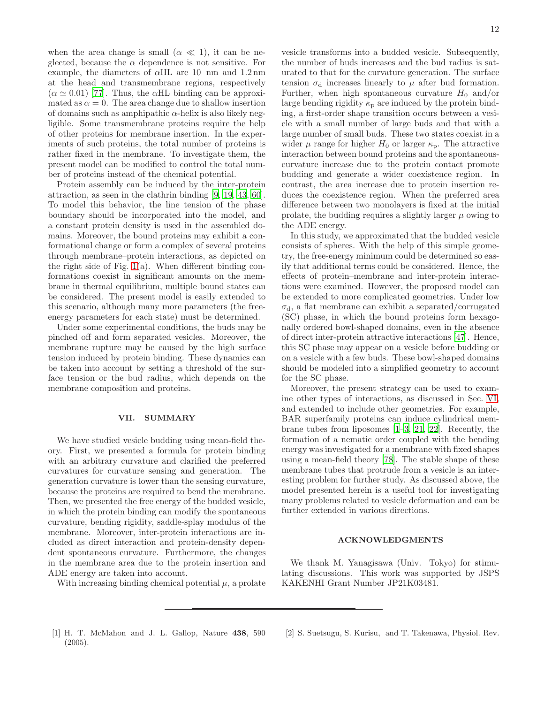when the area change is small  $(\alpha \ll 1)$ , it can be neglected, because the  $\alpha$  dependence is not sensitive. For example, the diameters of  $\alpha$ HL are 10 nm and 1.2 nm at the head and transmembrane regions, respectively  $(\alpha \simeq 0.01)$  [\[77\]](#page-13-5). Thus, the  $\alpha$ HL binding can be approximated as  $\alpha = 0$ . The area change due to shallow insertion of domains such as amphipathic  $\alpha$ -helix is also likely negligible. Some transmembrane proteins require the help of other proteins for membrane insertion. In the experiments of such proteins, the total number of proteins is rather fixed in the membrane. To investigate them, the present model can be modified to control the total number of proteins instead of the chemical potential.

Protein assembly can be induced by the inter-protein attraction, as seen in the clathrin binding [\[9,](#page-12-2) [19,](#page-12-8) [43,](#page-12-25) [60\]](#page-12-40). To model this behavior, the line tension of the phase boundary should be incorporated into the model, and a constant protein density is used in the assembled domains. Moreover, the bound proteins may exhibit a conformational change or form a complex of several proteins through membrane–protein interactions, as depicted on the right side of Fig. [1\(](#page-1-1)a). When different binding conformations coexist in significant amounts on the membrane in thermal equilibrium, multiple bound states can be considered. The present model is easily extended to this scenario, although many more parameters (the freeenergy parameters for each state) must be determined.

Under some experimental conditions, the buds may be pinched off and form separated vesicles. Moreover, the membrane rupture may be caused by the high surface tension induced by protein binding. These dynamics can be taken into account by setting a threshold of the surface tension or the bud radius, which depends on the membrane composition and proteins.

# <span id="page-11-1"></span>VII. SUMMARY

We have studied vesicle budding using mean-field theory. First, we presented a formula for protein binding with an arbitrary curvature and clarified the preferred curvatures for curvature sensing and generation. The generation curvature is lower than the sensing curvature, because the proteins are required to bend the membrane. Then, we presented the free energy of the budded vesicle, in which the protein binding can modify the spontaneous curvature, bending rigidity, saddle-splay modulus of the membrane. Moreover, inter-protein interactions are included as direct interaction and protein-density dependent spontaneous curvature. Furthermore, the changes in the membrane area due to the protein insertion and ADE energy are taken into account.

With increasing binding chemical potential  $\mu$ , a prolate

vesicle transforms into a budded vesicle. Subsequently, the number of buds increases and the bud radius is saturated to that for the curvature generation. The surface tension  $\sigma_d$  increases linearly to  $\mu$  after bud formation. Further, when high spontaneous curvature  $H_0$  and/or large bending rigidity  $\kappa_{\rm p}$  are induced by the protein binding, a first-order shape transition occurs between a vesicle with a small number of large buds and that with a large number of small buds. These two states coexist in a wider  $\mu$  range for higher  $H_0$  or larger  $\kappa_p$ . The attractive interaction between bound proteins and the spontaneouscurvature increase due to the protein contact promote budding and generate a wider coexistence region. In contrast, the area increase due to protein insertion reduces the coexistence region. When the preferred area difference between two monolayers is fixed at the initial prolate, the budding requires a slightly larger  $\mu$  owing to the ADE energy.

In this study, we approximated that the budded vesicle consists of spheres. With the help of this simple geometry, the free-energy minimum could be determined so easily that additional terms could be considered. Hence, the effects of protein–membrane and inter-protein interactions were examined. However, the proposed model can be extended to more complicated geometries. Under low  $\sigma_d$ , a flat membrane can exhibit a separated/corrugated (SC) phase, in which the bound proteins form hexagonally ordered bowl-shaped domains, even in the absence of direct inter-protein attractive interactions [\[47](#page-12-29)]. Hence, this SC phase may appear on a vesicle before budding or on a vesicle with a few buds. These bowl-shaped domains should be modeled into a simplified geometry to account for the SC phase.

Moreover, the present strategy can be used to examine other types of interactions, as discussed in Sec. [VI,](#page-10-0) and extended to include other geometries. For example, BAR superfamily proteins can induce cylindrical membrane tubes from liposomes [\[1](#page-11-0)[–3](#page-12-10), [21,](#page-12-11) [22](#page-12-12)]. Recently, the formation of a nematic order coupled with the bending energy was investigated for a membrane with fixed shapes using a mean-field theory [\[78\]](#page-13-6). The stable shape of these membrane tubes that protrude from a vesicle is an interesting problem for further study. As discussed above, the model presented herein is a useful tool for investigating many problems related to vesicle deformation and can be further extended in various directions.

# ACKNOWLEDGMENTS

We thank M. Yanagisawa (Univ. Tokyo) for stimulating discussions. This work was supported by JSPS KAKENHI Grant Number JP21K03481.

- <span id="page-11-0"></span>[1] H. T. McMahon and J. L. Gallop, Nature 438, 590 (2005).
- [2] S. Suetsugu, S. Kurisu, and T. Takenawa, Physiol. Rev.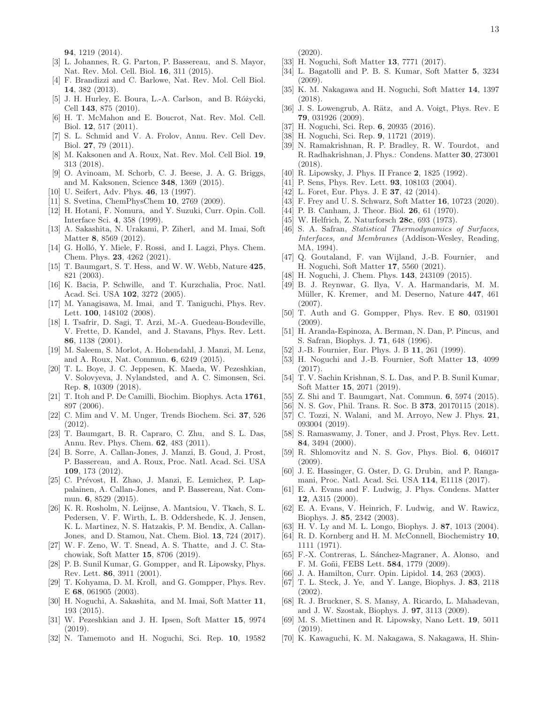94, 1219 (2014).

- <span id="page-12-10"></span>[3] L. Johannes, R. G. Parton, P. Bassereau, and S. Mayor, Nat. Rev. Mol. Cell. Biol. 16, 311 (2015).
- [4] F. Brandizzi and C. Barlowe, Nat. Rev. Mol. Cell Biol. 14, 382 (2013).
- <span id="page-12-1"></span>[5] J. H. Hurley, E. Boura, L.-A. Carlson, and B. Różycki, Cell 143, 875 (2010).
- <span id="page-12-0"></span>[6] H. T. McMahon and E. Boucrot, Nat. Rev. Mol. Cell. Biol. 12, 517 (2011).
- [7] S. L. Schmid and V. A. Frolov, Annu. Rev. Cell Dev. Biol. 27, 79 (2011).
- [8] M. Kaksonen and A. Roux, Nat. Rev. Mol. Cell Biol. 19, 313 (2018).
- <span id="page-12-2"></span>[9] O. Avinoam, M. Schorb, C. J. Beese, J. A. G. Briggs, and M. Kaksonen, Science 348, 1369 (2015).
- <span id="page-12-3"></span>[10] U. Seifert, Adv. Phys. **46**, 13 (1997).
- <span id="page-12-49"></span>[11] S. Svetina, ChemPhysChem 10, 2769 (2009).
- [12] H. Hotani, F. Nomura, and Y. Suzuki, Curr. Opin. Coll. Interface Sci. 4, 358 (1999).
- <span id="page-12-50"></span>[13] A. Sakashita, N. Urakami, P. Ziherl, and M. Imai, Soft Matter 8, 8569 (2012).
- <span id="page-12-4"></span>[14] G. Holló, Y. Miele, F. Rossi, and I. Lagzi, Phys. Chem. Chem. Phys. 23, 4262 (2021).
- <span id="page-12-5"></span>[15] T. Baumgart, S. T. Hess, and W. W. Webb, Nature 425, 821 (2003).
- [16] K. Bacia, P. Schwille, and T. Kurzchalia, Proc. Natl. Acad. Sci. USA 102, 3272 (2005).
- <span id="page-12-6"></span>[17] M. Yanagisawa, M. Imai, and T. Taniguchi, Phys. Rev. Lett. 100, 148102 (2008).
- <span id="page-12-7"></span>[18] I. Tsafrir, D. Sagi, T. Arzi, M.-A. Guedeau-Boudeville, V. Frette, D. Kandel, and J. Stavans, Phys. Rev. Lett. 86, 1138 (2001).
- <span id="page-12-8"></span>[19] M. Saleem, S. Morlot, A. Hohendahl, J. Manzi, M. Lenz, and A. Roux, Nat. Commun. 6, 6249 (2015).
- <span id="page-12-9"></span>[20] T. L. Boye, J. C. Jeppesen, K. Maeda, W. Pezeshkian, V. Solovyeva, J. Nylandsted, and A. C. Simonsen, Sci. Rep. 8, 10309 (2018).
- <span id="page-12-11"></span>[21] T. Itoh and P. De Camilli, Biochim. Biophys. Acta 1761, 897 (2006).
- <span id="page-12-12"></span>[22] C. Mim and V. M. Unger, Trends Biochem. Sci. 37, 526 (2012).
- <span id="page-12-13"></span>[23] T. Baumgart, B. R. Capraro, C. Zhu, and S. L. Das, Annu. Rev. Phys. Chem. 62, 483 (2011).
- <span id="page-12-36"></span>[24] B. Sorre, A. Callan-Jones, J. Manzi, B. Goud, J. Prost, P. Bassereau, and A. Roux, Proc. Natl. Acad. Sci. USA 109, 173 (2012).
- <span id="page-12-35"></span>[25] C. Prévost, H. Zhao, J. Manzi, E. Lemichez, P. Lappalainen, A. Callan-Jones, and P. Bassereau, Nat. Commun. 6, 8529 (2015).
- <span id="page-12-14"></span>[26] K. R. Rosholm, N. Leijnse, A. Mantsiou, V. Tkach, S. L. Pedersen, V. F. Wirth, L. B. Oddershede, K. J. Jensen, K. L. Martinez, N. S. Hatzakis, P. M. Bendix, A. Callan-Jones, and D. Stamou, Nat. Chem. Biol. 13, 724 (2017).
- <span id="page-12-15"></span>[27] W. F. Zeno, W. T. Snead, A. S. Thatte, and J. C. Stachowiak, Soft Matter 15, 8706 (2019).
- <span id="page-12-16"></span>[28] P. B. Sunil Kumar, G. Gompper, and R. Lipowsky, Phys. Rev. Lett. 86, 3911 (2001).
- [29] T. Kohyama, D. M. Kroll, and G. Gompper, Phys. Rev. E 68, 061905 (2003).
- [30] H. Noguchi, A. Sakashita, and M. Imai, Soft Matter 11, 193 (2015).
- [31] W. Pezeshkian and J. H. Ipsen, Soft Matter 15, 9974 (2019).
- <span id="page-12-17"></span>[32] N. Tamemoto and H. Noguchi, Sci. Rep. 10, 19582

 $(2020).$ 

- <span id="page-12-18"></span>[33] H. Noguchi, Soft Matter 13, 7771 (2017).
- <span id="page-12-19"></span>[34] L. Bagatolli and P. B. S. Kumar, Soft Matter 5, 3234  $(2009)$ .
- <span id="page-12-20"></span>[35] K. M. Nakagawa and H. Noguchi, Soft Matter 14, 1397 (2018).
- <span id="page-12-21"></span>[36] J. S. Lowengrub, A. Rätz, and A. Voigt, Phys. Rev. E 79, 031926 (2009).
- <span id="page-12-22"></span>[37] H. Noguchi, Sci. Rep. 6, 20935 (2016).
- [38] H. Noguchi, Sci. Rep. **9**, 11721 (2019).
- <span id="page-12-23"></span>[39] N. Ramakrishnan, R. P. Bradley, R. W. Tourdot, and R. Radhakrishnan, J. Phys.: Condens. Matter 30, 273001 (2018).
- <span id="page-12-24"></span>[40] R. Lipowsky, J. Phys. II France 2, 1825 (1992).
- [41] P. Sens, Phys. Rev. Lett. **93**, 108103 (2004).
- [42] L. Foret, Eur. Phys. J. E **37**, 42 (2014).
- <span id="page-12-25"></span>[43] F. Frey and U. S. Schwarz, Soft Matter 16, 10723 (2020).
- <span id="page-12-26"></span>[44] P. B. Canham, J. Theor. Biol. **26**, 61 (1970).
- <span id="page-12-27"></span>[45] W. Helfrich, Z. Naturforsch 28c, 693 (1973).
- <span id="page-12-28"></span>[46] S. A. Safran, Statistical Thermodynamics of Surfaces, Interfaces, and Membranes (Addison-Wesley, Reading, MA, 1994).
- <span id="page-12-29"></span>[47] Q. Goutaland, F. van Wijland, J.-B. Fournier, and H. Noguchi, Soft Matter 17, 5560 (2021).
- <span id="page-12-30"></span>[48] H. Noguchi, J. Chem. Phys. 143, 243109 (2015).
- <span id="page-12-31"></span>[49] B. J. Reynwar, G. Ilya, V. A. Harmandaris, M. M. Müller, K. Kremer, and M. Deserno, Nature 447, 461 (2007).
- [50] T. Auth and G. Gompper, Phys. Rev. E 80, 031901 (2009).
- [51] H. Aranda-Espinoza, A. Berman, N. Dan, P. Pincus, and S. Safran, Biophys. J. 71, 648 (1996).
- <span id="page-12-32"></span>[52] J.-B. Fournier, Eur. Phys. J. B 11, 261 (1999).
- <span id="page-12-33"></span>[53] H. Noguchi and J.-B. Fournier, Soft Matter 13, 4099 (2017).
- <span id="page-12-34"></span>[54] T. V. Sachin Krishnan, S. L. Das, and P. B. Sunil Kumar, Soft Matter 15, 2071 (2019).
- [55] Z. Shi and T. Baumgart, Nat. Commun. 6, 5974 (2015).
- [56] N. S. Gov, Phil. Trans. R. Soc. B **373**, 20170115 (2018).
- <span id="page-12-37"></span>[57] C. Tozzi, N. Walani, and M. Arroyo, New J. Phys. 21, 093004 (2019).
- <span id="page-12-38"></span>[58] S. Ramaswamy, J. Toner, and J. Prost, Phys. Rev. Lett. 84, 3494 (2000).
- <span id="page-12-39"></span>[59] R. Shlomovitz and N. S. Gov, Phys. Biol. 6, 046017 (2009).
- <span id="page-12-40"></span>[60] J. E. Hassinger, G. Oster, D. G. Drubin, and P. Rangamani, Proc. Natl. Acad. Sci. USA 114, E1118 (2017).
- <span id="page-12-41"></span>[61] E. A. Evans and F. Ludwig, J. Phys. Condens. Matter 12, A315 (2000).
- [62] E. A. Evans, V. Heinrich, F. Ludwig, and W. Rawicz, Biophys. J. 85, 2342 (2003).
- <span id="page-12-42"></span>[63] H. V. Ly and M. L. Longo, Biophys. J. 87, 1013 (2004).
- <span id="page-12-43"></span>[64] R. D. Kornberg and H. M. McConnell, Biochemistry 10, 1111 (1971).
- <span id="page-12-44"></span>[65] F.-X. Contreras, L. Sánchez-Magraner, A. Alonso, and F. M. Goñi, FEBS Lett. **584**, 1779 (2009).
- [66] J. A. Hamilton, Curr. Opin. Lipidol. **14**, 263 (2003).
- <span id="page-12-45"></span>[67] T. L. Steck, J. Ye, and Y. Lange, Biophys. J. 83, 2118 (2002).
- <span id="page-12-46"></span>[68] R. J. Bruckner, S. S. Mansy, A. Ricardo, L. Mahadevan, and J. W. Szostak, Biophys. J. 97, 3113 (2009).
- <span id="page-12-47"></span>[69] M. S. Miettinen and R. Lipowsky, Nano Lett. 19, 5011 (2019).
- <span id="page-12-48"></span>[70] K. Kawaguchi, K. M. Nakagawa, S. Nakagawa, H. Shin-